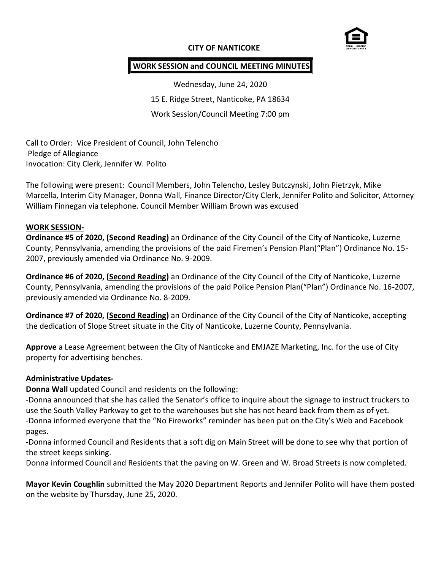## **CITY OF NANTICOKE**



## **WORK SESSION and COUNCIL MEETING MINUTES**

Wednesday, June 24, 2020 15 E. Ridge Street, Nanticoke, PA 18634 Work Session/Council Meeting 7:00 pm

Call to Order: Vice President of Council, John Telencho Pledge of Allegiance Invocation: City Clerk, Jennifer W. Polito

The following were present: Council Members, John Telencho, Lesley Butczynski, John Pietrzyk, Mike Marcella, Interim City Manager, Donna Wall, Finance Director/City Clerk, Jennifer Polito and Solicitor, Attorney William Finnegan via telephone. Council Member William Brown was excused

#### **WORK SESSION-**

**Ordinance #5 of 2020, (Second Reading)** an Ordinance of the City Council of the City of Nanticoke, Luzerne County, Pennsylvania, amending the provisions of the paid Firemen's Pension Plan("Plan") Ordinance No. 15- 2007, previously amended via Ordinance No. 9-2009.

**Ordinance #6 of 2020, (Second Reading)** an Ordinance of the City Council of the City of Nanticoke, Luzerne County, Pennsylvania, amending the provisions of the paid Police Pension Plan("Plan") Ordinance No. 16-2007, previously amended via Ordinance No. 8-2009.

**Ordinance #7 of 2020, (Second Reading)** an Ordinance of the City Council of the City of Nanticoke, accepting the dedication of Slope Street situate in the City of Nanticoke, Luzerne County, Pennsylvania.

**Approve** a Lease Agreement between the City of Nanticoke and EMJAZE Marketing, Inc. for the use of City property for advertising benches.

#### **Administrative Updates-**

**Donna Wall** updated Council and residents on the following:

-Donna announced that she has called the Senator's office to inquire about the signage to instruct truckers to use the South Valley Parkway to get to the warehouses but she has not heard back from them as of yet. -Donna informed everyone that the "No Fireworks" reminder has been put on the City's Web and Facebook pages.

-Donna informed Council and Residents that a soft dig on Main Street will be done to see why that portion of the street keeps sinking.

Donna informed Council and Residents that the paving on W. Green and W. Broad Streets is now completed.

**Mayor Kevin Coughlin** submitted the May 2020 Department Reports and Jennifer Polito will have them posted on the website by Thursday, June 25, 2020.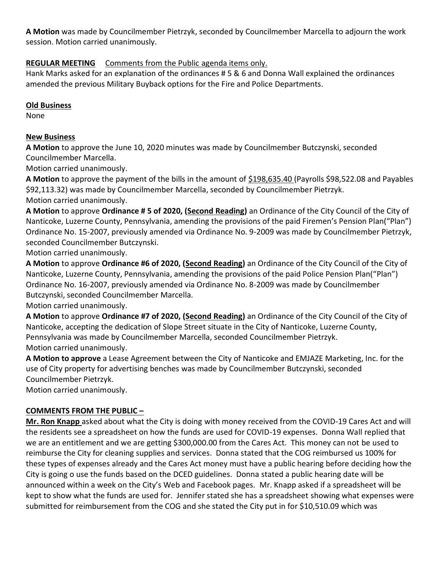**A Motion** was made by Councilmember Pietrzyk, seconded by Councilmember Marcella to adjourn the work session. Motion carried unanimously.

# **REGULAR MEETING** Comments from the Public agenda items only.

Hank Marks asked for an explanation of the ordinances # 5 & 6 and Donna Wall explained the ordinances amended the previous Military Buyback options for the Fire and Police Departments.

## **Old Business**

None

## **New Business**

**A Motion** to approve the June 10, 2020 minutes was made by Councilmember Butczynski, seconded Councilmember Marcella.

Motion carried unanimously.

A Motion to approve the payment of the bills in the amount of \$198,635.40 (Payrolls \$98,522.08 and Payables \$92,113.32) was made by Councilmember Marcella, seconded by Councilmember Pietrzyk. Motion carried unanimously.

**A Motion** to approve **Ordinance # 5 of 2020, (Second Reading)** an Ordinance of the City Council of the City of Nanticoke, Luzerne County, Pennsylvania, amending the provisions of the paid Firemen's Pension Plan("Plan") Ordinance No. 15-2007, previously amended via Ordinance No. 9-2009 was made by Councilmember Pietrzyk, seconded Councilmember Butczynski.

Motion carried unanimously.

**A Motion** to approve **Ordinance #6 of 2020, (Second Reading)** an Ordinance of the City Council of the City of Nanticoke, Luzerne County, Pennsylvania, amending the provisions of the paid Police Pension Plan("Plan") Ordinance No. 16-2007, previously amended via Ordinance No. 8-2009 was made by Councilmember Butczynski, seconded Councilmember Marcella.

Motion carried unanimously.

**A Motion** to approve **Ordinance #7 of 2020, (Second Reading)** an Ordinance of the City Council of the City of Nanticoke, accepting the dedication of Slope Street situate in the City of Nanticoke, Luzerne County, Pennsylvania was made by Councilmember Marcella, seconded Councilmember Pietrzyk. Motion carried unanimously.

**A Motion to approve** a Lease Agreement between the City of Nanticoke and EMJAZE Marketing, Inc. for the use of City property for advertising benches was made by Councilmember Butczynski, seconded Councilmember Pietrzyk.

Motion carried unanimously.

## **COMMENTS FROM THE PUBLIC –**

**Mr. Ron Knapp** asked about what the City is doing with money received from the COVID-19 Cares Act and will the residents see a spreadsheet on how the funds are used for COVID-19 expenses. Donna Wall replied that we are an entitlement and we are getting \$300,000.00 from the Cares Act. This money can not be used to reimburse the City for cleaning supplies and services. Donna stated that the COG reimbursed us 100% for these types of expenses already and the Cares Act money must have a public hearing before deciding how the City is going o use the funds based on the DCED guidelines. Donna stated a public hearing date will be announced within a week on the City's Web and Facebook pages. Mr. Knapp asked if a spreadsheet will be kept to show what the funds are used for. Jennifer stated she has a spreadsheet showing what expenses were submitted for reimbursement from the COG and she stated the City put in for \$10,510.09 which was